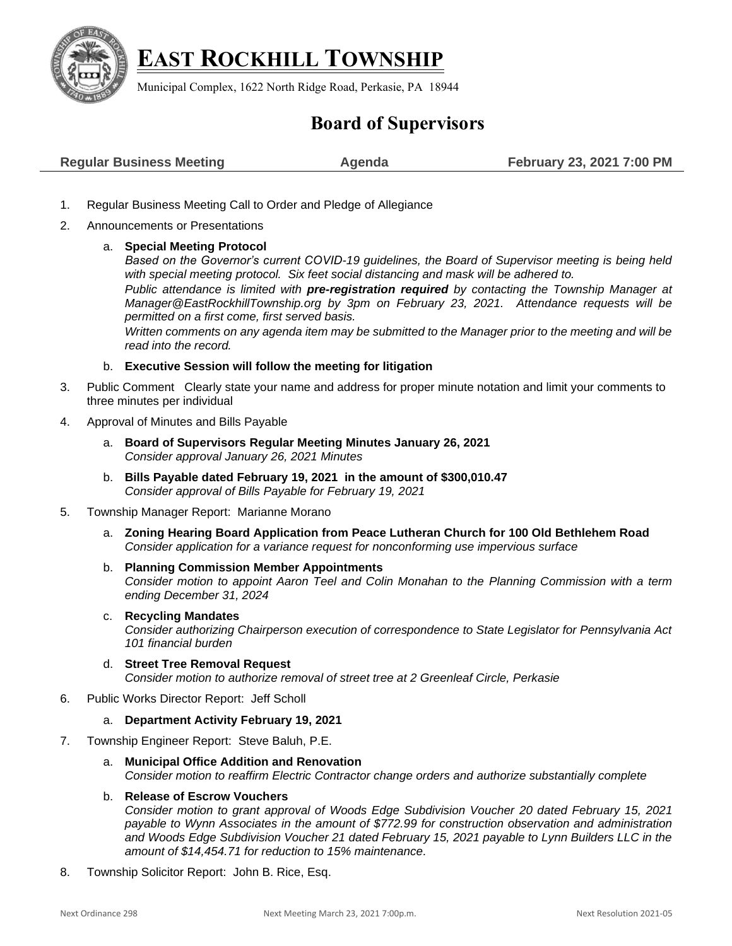

# **EAST ROCKHILL TOWNSHIP**

Municipal Complex, 1622 North Ridge Road, Perkasie, PA 18944

# **Board of Supervisors**

- 1. Regular Business Meeting Call to Order and Pledge of Allegiance
- 2. Announcements or Presentations

## a. **Special Meeting Protocol**

*Based on the Governor's current COVID-19 guidelines, the Board of Supervisor meeting is being held with special meeting protocol. Six feet social distancing and mask will be adhered to.* 

*Public attendance is limited with pre-registration required by contacting the Township Manager at [Manager@EastRockhillTownship.org](mailto:Manager@EastRockhillTownship.org) by 3pm on February 23, 2021. Attendance requests will be permitted on a first come, first served basis.* 

*Written comments on any agenda item may be submitted to the Manager prior to the meeting and will be read into the record.*

### b. **Executive Session will follow the meeting for litigation**

- 3. Public Comment Clearly state your name and address for proper minute notation and limit your comments to three minutes per individual
- 4. Approval of Minutes and Bills Payable
	- a. **Board of Supervisors Regular Meeting Minutes January 26, 2021** *Consider approval January 26, 2021 Minutes*
	- b. **Bills Payable dated February 19, 2021 in the amount of \$300,010.47** *Consider approval of Bills Payable for February 19, 2021*
- 5. Township Manager Report: Marianne Morano
	- a. **Zoning Hearing Board Application from Peace Lutheran Church for 100 Old Bethlehem Road** *Consider application for a variance request for nonconforming use impervious surface*
	- b. **Planning Commission Member Appointments**  *Consider motion to appoint Aaron Teel and Colin Monahan to the Planning Commission with a term ending December 31, 2024*
	- c. **Recycling Mandates**

*Consider authorizing Chairperson execution of correspondence to State Legislator for Pennsylvania Act 101 financial burden* 

- d. **Street Tree Removal Request**  *Consider motion to authorize removal of street tree at 2 Greenleaf Circle, Perkasie*
- 6. Public Works Director Report: Jeff Scholl
	- a. **Department Activity February 19, 2021**
- 7. Township Engineer Report: Steve Baluh, P.E.
	- a. **Municipal Office Addition and Renovation** *Consider motion to reaffirm Electric Contractor change orders and authorize substantially complete*

### b. **Release of Escrow Vouchers**

*Consider motion to grant approval of Woods Edge Subdivision Voucher 20 dated February 15, 2021 payable to Wynn Associates in the amount of \$772.99 for construction observation and administration and Woods Edge Subdivision Voucher 21 dated February 15, 2021 payable to Lynn Builders LLC in the amount of \$14,454.71 for reduction to 15% maintenance.*

8. Township Solicitor Report: John B. Rice, Esq.